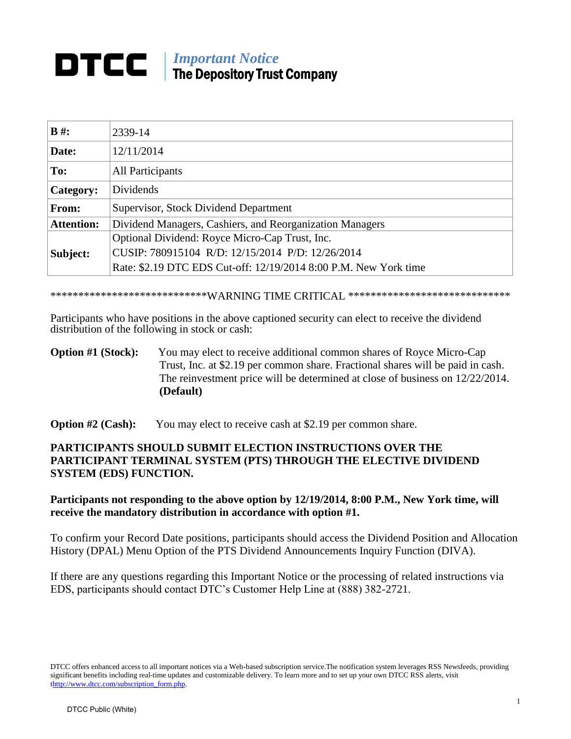## *Important Notice* The Depository Trust Company

| $B \#$ :          | 2339-14                                                          |
|-------------------|------------------------------------------------------------------|
| Date:             | 12/11/2014                                                       |
| To:               | <b>All Participants</b>                                          |
| Category:         | Dividends                                                        |
| From:             | Supervisor, Stock Dividend Department                            |
| <b>Attention:</b> | Dividend Managers, Cashiers, and Reorganization Managers         |
|                   | Optional Dividend: Royce Micro-Cap Trust, Inc.                   |
| Subject:          | CUSIP: 780915104 R/D: 12/15/2014 P/D: 12/26/2014                 |
|                   | Rate: \$2.19 DTC EDS Cut-off: 12/19/2014 8:00 P.M. New York time |

\*\*\*\*\*\*\*\*\*\*\*\*\*\*\*\*\*\*\*\*\*\*\*\*\*\*\*\*\*WARNING TIME CRITICAL \*\*\*\*\*\*\*\*\*\*\*\*\*\*\*\*\*\*\*\*\*\*\*\*\*\*\*\*\*

Participants who have positions in the above captioned security can elect to receive the dividend distribution of the following in stock or cash:

## **Option #1 (Stock):** You may elect to receive additional common shares of Royce Micro-Cap Trust, Inc. at \$2.19 per common share. Fractional shares will be paid in cash. The reinvestment price will be determined at close of business on 12/22/2014. **(Default)**

**Option #2 (Cash):** You may elect to receive cash at \$2.19 per common share.

## **PARTICIPANTS SHOULD SUBMIT ELECTION INSTRUCTIONS OVER THE PARTICIPANT TERMINAL SYSTEM (PTS) THROUGH THE ELECTIVE DIVIDEND SYSTEM (EDS) FUNCTION.**

## **Participants not responding to the above option by 12/19/2014, 8:00 P.M., New York time, will receive the mandatory distribution in accordance with option #1.**

To confirm your Record Date positions, participants should access the Dividend Position and Allocation History (DPAL) Menu Option of the PTS Dividend Announcements Inquiry Function (DIVA).

If there are any questions regarding this Important Notice or the processing of related instructions via EDS, participants should contact DTC's Customer Help Line at (888) 382-2721.

DTCC offers enhanced access to all important notices via a Web-based subscription service.The notification system leverages RSS Newsfeeds, providing significant benefits including real-time updates and customizable delivery. To learn more and to set up your own DTCC RSS alerts, visit [thttp://www.dtcc.com/subscription\\_form.php.](http://www.dtcc.com/subscription_form.php)